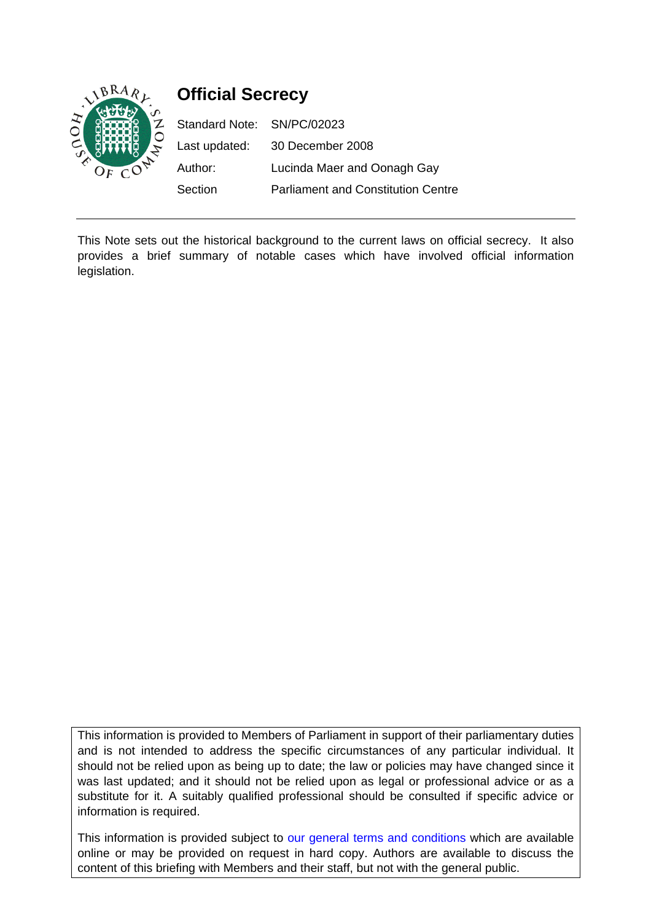

# **Official Secrecy**

Standard Note: SN/PC/02023 Last updated: 30 December 2008 Author: Lucinda Maer and Oonagh Gay Section Parliament and Constitution Centre

This Note sets out the historical background to the current laws on official secrecy. It also provides a brief summary of notable cases which have involved official information legislation.

This information is provided to Members of Parliament in support of their parliamentary duties and is not intended to address the specific circumstances of any particular individual. It should not be relied upon as being up to date; the law or policies may have changed since it was last updated; and it should not be relied upon as legal or professional advice or as a substitute for it. A suitably qualified professional should be consulted if specific advice or information is required.

This information is provided subject to our general terms and conditions which are available online or may be provided on request in hard copy. Authors are available to discuss the content of this briefing with Members and their staff, but not with the general public.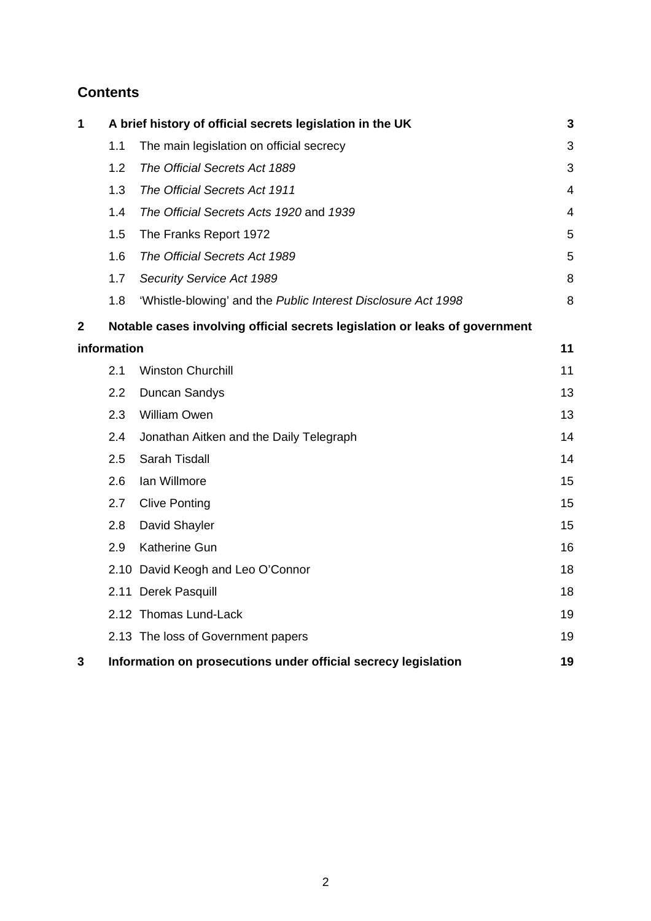# **Contents**

| 1            | A brief history of official secrets legislation in the UK                   |                                                               |                |  |
|--------------|-----------------------------------------------------------------------------|---------------------------------------------------------------|----------------|--|
|              | 1.1                                                                         | The main legislation on official secrecy                      | 3              |  |
|              | 1.2                                                                         | The Official Secrets Act 1889                                 | 3              |  |
|              | 1.3                                                                         | The Official Secrets Act 1911                                 | $\overline{4}$ |  |
|              | 1.4                                                                         | The Official Secrets Acts 1920 and 1939                       | $\overline{4}$ |  |
|              | 1.5                                                                         | The Franks Report 1972                                        | 5              |  |
|              | 1.6                                                                         | The Official Secrets Act 1989                                 | 5              |  |
|              | 1.7                                                                         | Security Service Act 1989                                     | 8              |  |
|              | 1.8                                                                         | 'Whistle-blowing' and the Public Interest Disclosure Act 1998 | 8              |  |
| $\mathbf{2}$ | Notable cases involving official secrets legislation or leaks of government |                                                               |                |  |
|              | information                                                                 |                                                               |                |  |
|              | 2.1                                                                         | <b>Winston Churchill</b>                                      | 11             |  |
|              | 2.2                                                                         | <b>Duncan Sandys</b>                                          | 13             |  |
|              | 2.3                                                                         | <b>William Owen</b>                                           | 13             |  |
|              | 2.4                                                                         | Jonathan Aitken and the Daily Telegraph                       | 14             |  |
|              | 2.5                                                                         | <b>Sarah Tisdall</b>                                          | 14             |  |
|              | 2.6                                                                         | Ian Willmore                                                  | 15             |  |
|              | 2.7                                                                         | <b>Clive Ponting</b>                                          | 15             |  |
|              | 2.8                                                                         | David Shayler                                                 | 15             |  |
|              | 2.9                                                                         | <b>Katherine Gun</b>                                          | 16             |  |
|              |                                                                             | 2.10 David Keogh and Leo O'Connor                             | 18             |  |
|              |                                                                             | 2.11 Derek Pasquill                                           | 18             |  |
|              |                                                                             | 2.12 Thomas Lund-Lack                                         | 19             |  |
|              |                                                                             | 2.13 The loss of Government papers                            | 19             |  |
| 3            | Information on prosecutions under official secrecy legislation<br>19        |                                                               |                |  |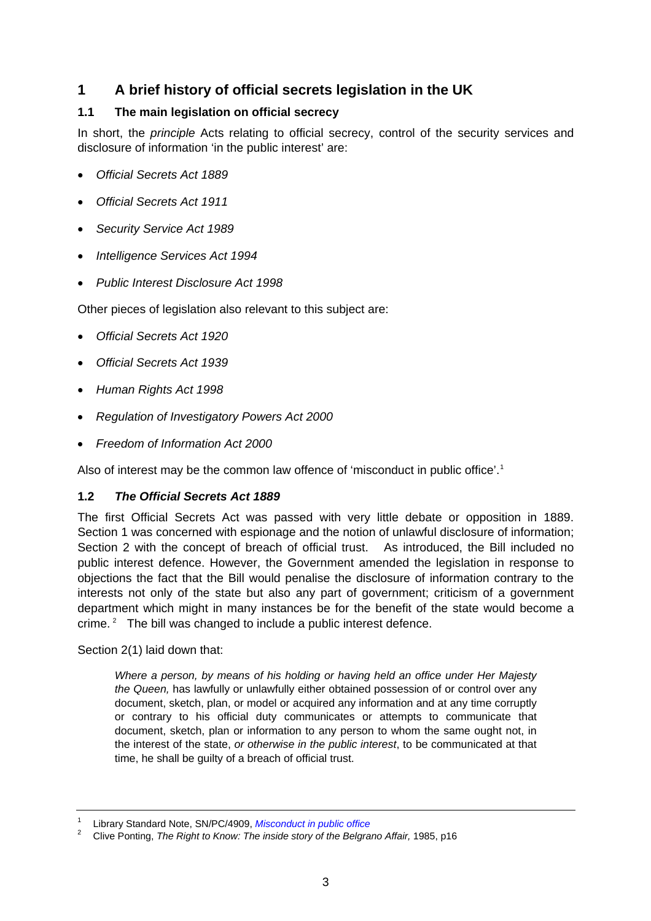# <span id="page-2-0"></span>**1 A brief history of official secrets legislation in the UK**

## **1.1 The main legislation on official secrecy**

In short, the *principle* Acts relating to official secrecy, control of the security services and disclosure of information 'in the public interest' are:

- *Official Secrets Act 1889*
- *Official Secrets Act 1911*
- *Security Service Act 1989*
- *Intelligence Services Act 1994*
- *Public Interest Disclosure Act 1998*

Other pieces of legislation also relevant to this subject are:

- *Official Secrets Act 1920*
- *Official Secrets Act 1939*
- *Human Rights Act 1998*
- *Regulation of Investigatory Powers Act 2000*
- *Freedom of Information Act 2000*

Also of interest may be the common law offence of 'misconduct in public office'.<sup>[1](#page-2-1)</sup>

#### **1.2** *The Official Secrets Act 1889*

The first Official Secrets Act was passed with very little debate or opposition in 1889. Section 1 was concerned with espionage and the notion of unlawful disclosure of information; Section 2 with the concept of breach of official trust. As introduced, the Bill included no public interest defence. However, the Government amended the legislation in response to objections the fact that the Bill would penalise the disclosure of information contrary to the interests not only of the state but also any part of government; criticism of a government department which might in many instances be for the benefit of the state would become a crime.  $2$  The bill was changed to include a public interest defence.

Section 2(1) laid down that:

*Where a person, by means of his holding or having held an office under Her Majesty the Queen,* has lawfully or unlawfully either obtained possession of or control over any document, sketch, plan, or model or acquired any information and at any time corruptly or contrary to his official duty communicates or attempts to communicate that document, sketch, plan or information to any person to whom the same ought not, in the interest of the state, *or otherwise in the public interest*, to be communicated at that time, he shall be guilty of a breach of official trust.

<span id="page-2-1"></span><sup>1</sup> Library Standard Note, SN/PC/4909, *[Misconduct in public office](http://www.parliament.uk/briefing-papers/SN04909)*

<span id="page-2-2"></span><sup>2</sup> Clive Ponting, *The Right to Know: The inside story of the Belgrano Affair,* 1985, p16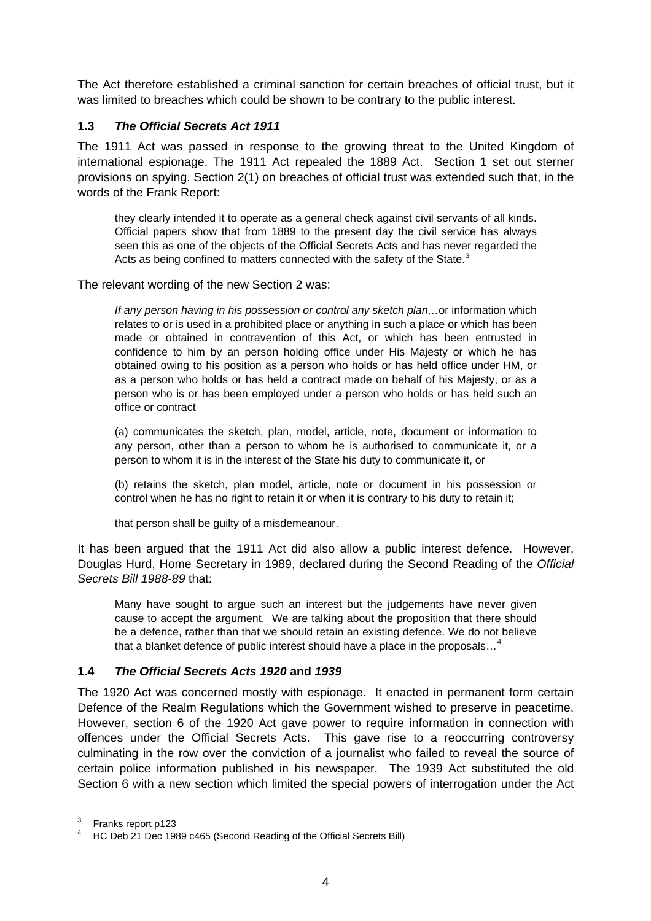<span id="page-3-0"></span>The Act therefore established a criminal sanction for certain breaches of official trust, but it was limited to breaches which could be shown to be contrary to the public interest.

## **1.3** *The Official Secrets Act 1911*

The 1911 Act was passed in response to the growing threat to the United Kingdom of international espionage. The 1911 Act repealed the 1889 Act. Section 1 set out sterner provisions on spying. Section 2(1) on breaches of official trust was extended such that, in the words of the Frank Report:

they clearly intended it to operate as a general check against civil servants of all kinds. Official papers show that from 1889 to the present day the civil service has always seen this as one of the objects of the Official Secrets Acts and has never regarded the Acts as being confined to matters connected with the safety of the State. $3$ 

The relevant wording of the new Section 2 was:

*If any person having in his possession or control any sketch plan…*or information which relates to or is used in a prohibited place or anything in such a place or which has been made or obtained in contravention of this Act, or which has been entrusted in confidence to him by an person holding office under His Majesty or which he has obtained owing to his position as a person who holds or has held office under HM, or as a person who holds or has held a contract made on behalf of his Majesty, or as a person who is or has been employed under a person who holds or has held such an office or contract

(a) communicates the sketch, plan, model, article, note, document or information to any person, other than a person to whom he is authorised to communicate it, or a person to whom it is in the interest of the State his duty to communicate it, or

(b) retains the sketch, plan model, article, note or document in his possession or control when he has no right to retain it or when it is contrary to his duty to retain it:

that person shall be guilty of a misdemeanour.

It has been argued that the 1911 Act did also allow a public interest defence. However, Douglas Hurd, Home Secretary in 1989, declared during the Second Reading of the *Official Secrets Bill 1988-89* that:

Many have sought to argue such an interest but the judgements have never given cause to accept the argument. We are talking about the proposition that there should be a defence, rather than that we should retain an existing defence. We do not believe that a blanket defence of public interest should have a place in the proposals...<sup>[4](#page-3-2)</sup>

#### **1.4** *The Official Secrets Acts 1920* **and** *1939*

The 1920 Act was concerned mostly with espionage. It enacted in permanent form certain Defence of the Realm Regulations which the Government wished to preserve in peacetime. However, section 6 of the 1920 Act gave power to require information in connection with offences under the Official Secrets Acts. This gave rise to a reoccurring controversy culminating in the row over the conviction of a journalist who failed to reveal the source of certain police information published in his newspaper. The 1939 Act substituted the old Section 6 with a new section which limited the special powers of interrogation under the Act

<span id="page-3-1"></span><sup>3</sup> Franks report p123

<span id="page-3-2"></span><sup>4</sup> HC Deb 21 Dec 1989 c465 (Second Reading of the Official Secrets Bill)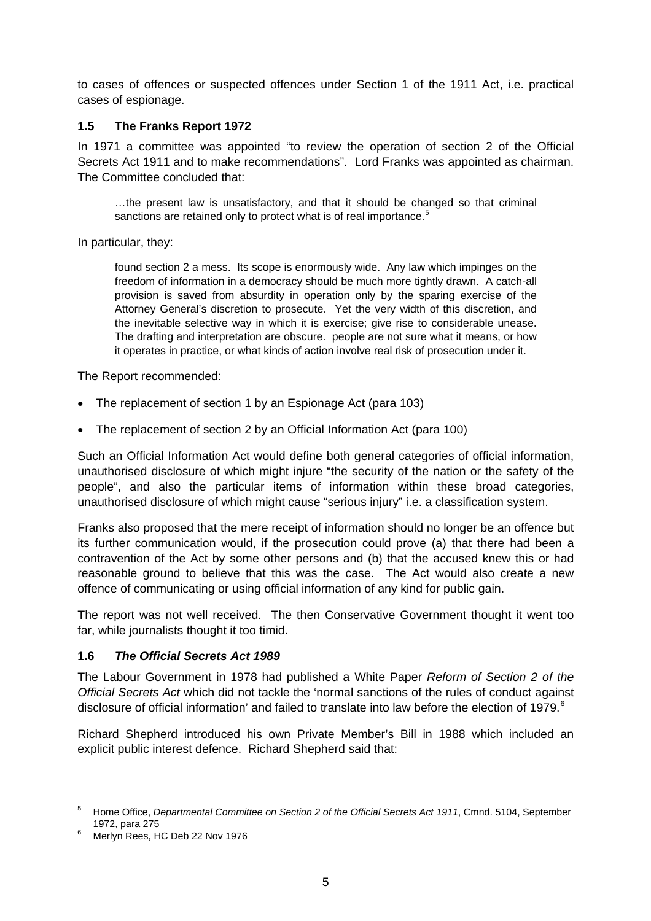<span id="page-4-0"></span>to cases of offences or suspected offences under Section 1 of the 1911 Act, i.e. practical cases of espionage.

#### **1.5 The Franks Report 1972**

In 1971 a committee was appointed "to review the operation of section 2 of the Official Secrets Act 1911 and to make recommendations". Lord Franks was appointed as chairman. The Committee concluded that:

…the present law is unsatisfactory, and that it should be changed so that criminal sanctions are retained only to protect what is of real importance.<sup>[5](#page-4-1)</sup>

In particular, they:

found section 2 a mess. Its scope is enormously wide. Any law which impinges on the freedom of information in a democracy should be much more tightly drawn. A catch-all provision is saved from absurdity in operation only by the sparing exercise of the Attorney General's discretion to prosecute. Yet the very width of this discretion, and the inevitable selective way in which it is exercise; give rise to considerable unease. The drafting and interpretation are obscure. people are not sure what it means, or how it operates in practice, or what kinds of action involve real risk of prosecution under it.

The Report recommended:

- The replacement of section 1 by an Espionage Act (para 103)
- The replacement of section 2 by an Official Information Act (para 100)

Such an Official Information Act would define both general categories of official information, unauthorised disclosure of which might injure "the security of the nation or the safety of the people", and also the particular items of information within these broad categories, unauthorised disclosure of which might cause "serious injury" i.e. a classification system.

Franks also proposed that the mere receipt of information should no longer be an offence but its further communication would, if the prosecution could prove (a) that there had been a contravention of the Act by some other persons and (b) that the accused knew this or had reasonable ground to believe that this was the case. The Act would also create a new offence of communicating or using official information of any kind for public gain.

The report was not well received. The then Conservative Government thought it went too far, while journalists thought it too timid.

#### **1.6** *The Official Secrets Act 1989*

The Labour Government in 1978 had published a White Paper *Reform of Section 2 of the Official Secrets Act* which did not tackle the 'normal sanctions of the rules of conduct against disclosure of official information' and failed to translate into law before the election of 1979. $6$ 

Richard Shepherd introduced his own Private Member's Bill in 1988 which included an explicit public interest defence. Richard Shepherd said that:

<span id="page-4-1"></span><sup>5</sup> Home Office, *Departmental Committee on Section 2 of the Official Secrets Act 1911*, Cmnd. 5104, September 1972, para 275 6

<span id="page-4-2"></span>Merlyn Rees, HC Deb 22 Nov 1976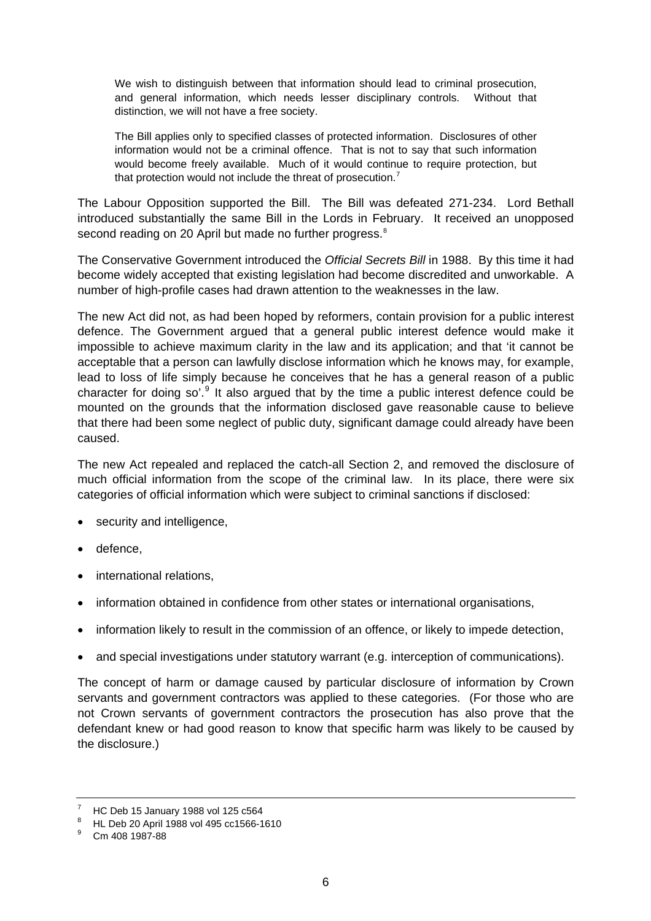We wish to distinguish between that information should lead to criminal prosecution, and general information, which needs lesser disciplinary controls. Without that distinction, we will not have a free society.

The Bill applies only to specified classes of protected information. Disclosures of other information would not be a criminal offence. That is not to say that such information would become freely available. Much of it would continue to require protection, but that protection would not include the threat of prosecution.<sup>[7](#page-5-0)</sup>

The Labour Opposition supported the Bill. The Bill was defeated 271-234. Lord Bethall introduced substantially the same Bill in the Lords in February. It received an unopposed second reading on 20 April but made no further progress.<sup>[8](#page-5-1)</sup>

The Conservative Government introduced the *Official Secrets Bill* in 1988. By this time it had become widely accepted that existing legislation had become discredited and unworkable. A number of high-profile cases had drawn attention to the weaknesses in the law.

The new Act did not, as had been hoped by reformers, contain provision for a public interest defence. The Government argued that a general public interest defence would make it impossible to achieve maximum clarity in the law and its application; and that 'it cannot be acceptable that a person can lawfully disclose information which he knows may, for example, lead to loss of life simply because he conceives that he has a general reason of a public character for doing so'.<sup>[9](#page-5-2)</sup> It also argued that by the time a public interest defence could be mounted on the grounds that the information disclosed gave reasonable cause to believe that there had been some neglect of public duty, significant damage could already have been caused.

The new Act repealed and replaced the catch-all Section 2, and removed the disclosure of much official information from the scope of the criminal law. In its place, there were six categories of official information which were subject to criminal sanctions if disclosed:

- security and intelligence.
- defence,
- international relations,
- information obtained in confidence from other states or international organisations,
- information likely to result in the commission of an offence, or likely to impede detection,
- and special investigations under statutory warrant (e.g. interception of communications).

The concept of harm or damage caused by particular disclosure of information by Crown servants and government contractors was applied to these categories. (For those who are not Crown servants of government contractors the prosecution has also prove that the defendant knew or had good reason to know that specific harm was likely to be caused by the disclosure.)

<sup>7</sup> HC Deb 15 January 1988 vol 125 c564

<span id="page-5-1"></span><span id="page-5-0"></span><sup>8</sup> HL Deb 20 April 1988 vol 495 cc1566-1610

<span id="page-5-2"></span><sup>9</sup> Cm 408 1987-88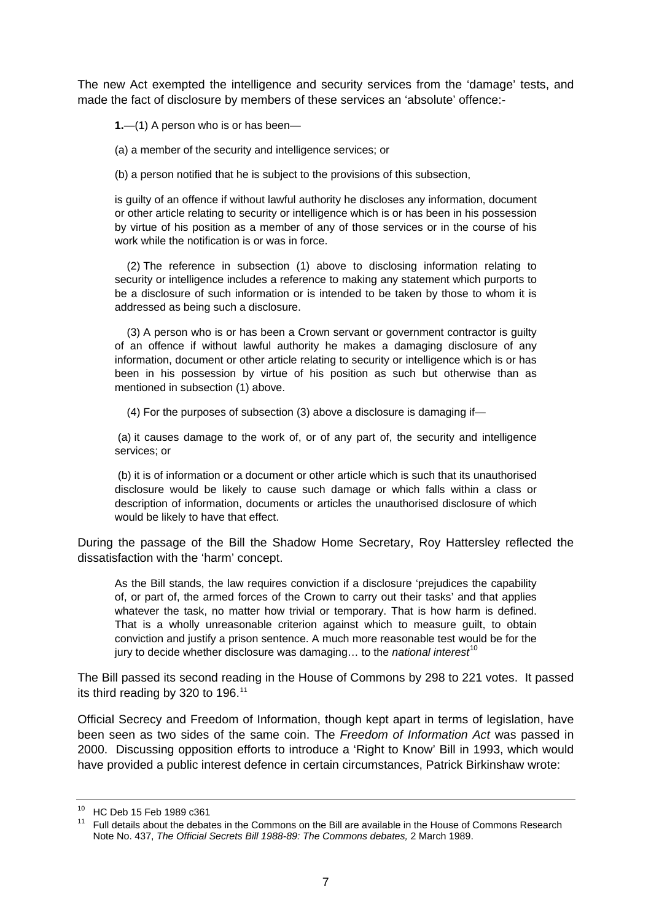The new Act exempted the intelligence and security services from the 'damage' tests, and made the fact of disclosure by members of these services an 'absolute' offence:-

**1.**—(1) A person who is or has been—

(a) a member of the security and intelligence services; or

(b) a person notified that he is subject to the provisions of this subsection,

is guilty of an offence if without lawful authority he discloses any information, document or other article relating to security or intelligence which is or has been in his possession by virtue of his position as a member of any of those services or in the course of his work while the notification is or was in force.

 (2) The reference in subsection (1) above to disclosing information relating to security or intelligence includes a reference to making any statement which purports to be a disclosure of such information or is intended to be taken by those to whom it is addressed as being such a disclosure.

 (3) A person who is or has been a Crown servant or government contractor is guilty of an offence if without lawful authority he makes a damaging disclosure of any information, document or other article relating to security or intelligence which is or has been in his possession by virtue of his position as such but otherwise than as mentioned in subsection (1) above.

(4) For the purposes of subsection (3) above a disclosure is damaging if—

 (a) it causes damage to the work of, or of any part of, the security and intelligence services; or

 (b) it is of information or a document or other article which is such that its unauthorised disclosure would be likely to cause such damage or which falls within a class or description of information, documents or articles the unauthorised disclosure of which would be likely to have that effect.

During the passage of the Bill the Shadow Home Secretary, Roy Hattersley reflected the dissatisfaction with the 'harm' concept.

As the Bill stands, the law requires conviction if a disclosure 'prejudices the capability of, or part of, the armed forces of the Crown to carry out their tasks' and that applies whatever the task, no matter how trivial or temporary. That is how harm is defined. That is a wholly unreasonable criterion against which to measure guilt, to obtain conviction and justify a prison sentence. A much more reasonable test would be for the jury to decide whether disclosure was damaging... to the *national interest*<sup>[10](#page-6-0)</sup>

The Bill passed its second reading in the House of Commons by 298 to 221 votes. It passed its third reading by 320 to 196.<sup>[11](#page-6-1)</sup>

Official Secrecy and Freedom of Information, though kept apart in terms of legislation, have been seen as two sides of the same coin. The *Freedom of Information Act* was passed in 2000. Discussing opposition efforts to introduce a 'Right to Know' Bill in 1993, which would have provided a public interest defence in certain circumstances, Patrick Birkinshaw wrote:

<span id="page-6-0"></span><sup>10</sup> HC Deb 15 Feb 1989 c361

<span id="page-6-1"></span><sup>&</sup>lt;sup>11</sup> Full details about the debates in the Commons on the Bill are available in the House of Commons Research Note No. 437, *The Official Secrets Bill 1988-89: The Commons debates,* 2 March 1989.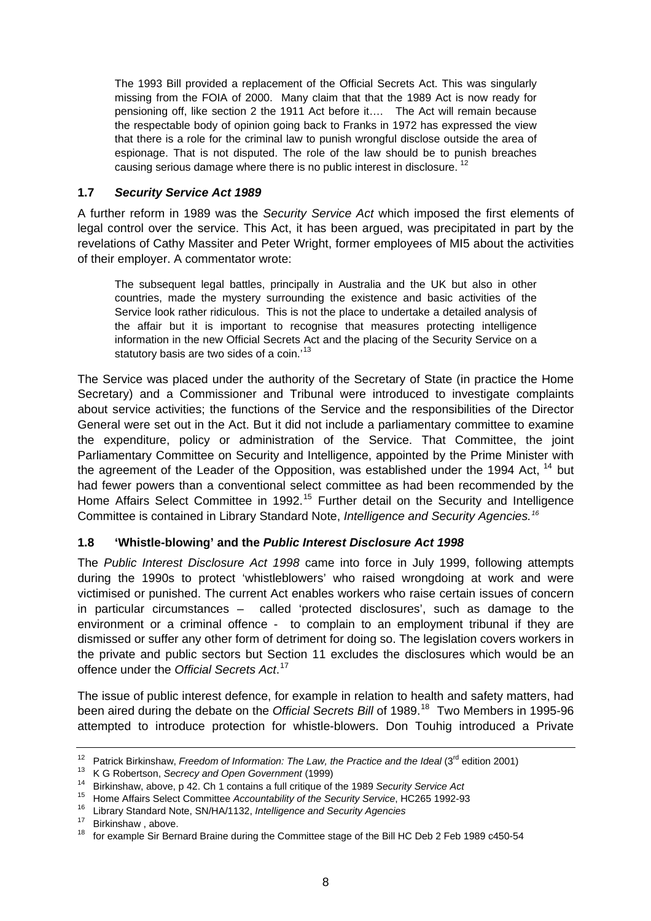<span id="page-7-0"></span>The 1993 Bill provided a replacement of the Official Secrets Act. This was singularly missing from the FOIA of 2000. Many claim that that the 1989 Act is now ready for pensioning off, like section 2 the 1911 Act before it…. The Act will remain because the respectable body of opinion going back to Franks in 1972 has expressed the view that there is a role for the criminal law to punish wrongful disclose outside the area of espionage. That is not disputed. The role of the law should be to punish breaches causing serious damage where there is no public interest in disclosure.<sup>12</sup>

#### **1.7** *Security Service Act 1989*

A further reform in 1989 was the *Security Service Act* which imposed the first elements of legal control over the service. This Act, it has been argued, was precipitated in part by the revelations of Cathy Massiter and Peter Wright, former employees of MI5 about the activities of their employer. A commentator wrote:

The subsequent legal battles, principally in Australia and the UK but also in other countries, made the mystery surrounding the existence and basic activities of the Service look rather ridiculous. This is not the place to undertake a detailed analysis of the affair but it is important to recognise that measures protecting intelligence information in the new Official Secrets Act and the placing of the Security Service on a statutory basis are two sides of a coin.<sup>[13](#page-7-2)</sup>

The Service was placed under the authority of the Secretary of State (in practice the Home Secretary) and a Commissioner and Tribunal were introduced to investigate complaints about service activities; the functions of the Service and the responsibilities of the Director General were set out in the Act. But it did not include a parliamentary committee to examine the expenditure, policy or administration of the Service. That Committee, the joint Parliamentary Committee on Security and Intelligence, appointed by the Prime Minister with the agreement of the Leader of the Opposition, was established under the 1994 Act, <sup>[14](#page-7-3)</sup> but had fewer powers than a conventional select committee as had been recommended by the Home Affairs Select Committee in 1992.<sup>[15](#page-7-4)</sup> Further detail on the Security and Intelligence Committee is contained in Library Standard Note, *Intelligence and Security Agencies.[16](#page-7-5)*

#### **1.8 'Whistle-blowing' and the** *Public Interest Disclosure Act 1998*

The *Public Interest Disclosure Act 1998* came into force in July 1999, following attempts during the 1990s to protect 'whistleblowers' who raised wrongdoing at work and were victimised or punished. The current Act enables workers who raise certain issues of concern in particular circumstances – called 'protected disclosures', such as damage to the environment or a criminal offence - to complain to an employment tribunal if they are dismissed or suffer any other form of detriment for doing so. The legislation covers workers in the private and public sectors but Section 11 excludes the disclosures which would be an offence under the *Official Secrets Act*. [17](#page-7-6)

The issue of public interest defence, for example in relation to health and safety matters, had been aired during the debate on the *Official Secrets Bill* of 1989.<sup>[18](#page-7-7)</sup> Two Members in 1995-96 attempted to introduce protection for whistle-blowers. Don Touhig introduced a Private

<span id="page-7-2"></span><span id="page-7-1"></span><sup>&</sup>lt;sup>12</sup> Patrick Birkinshaw, *Freedom of Information: The Law, the Practice and the Ideal* ( $3^{rd}$  edition 2001)<br><sup>13</sup> K G Robertson, *Secrecy and Open Government* (1999)<br><sup>14</sup> Birkinshaw, above, p 42. Ch 1 contains a full crit

<span id="page-7-4"></span><span id="page-7-3"></span><sup>&</sup>lt;sup>15</sup> Home Affairs Select Committee *Accountability of the Security Service*, HC265 1992-93<br><sup>16</sup> Library Standard Note, SN/HA/1132, *Intelligence and Security Agencies* 

<span id="page-7-6"></span><span id="page-7-5"></span><sup>&</sup>lt;sup>17</sup> Birkinshaw, above.

<span id="page-7-7"></span><sup>&</sup>lt;sup>18</sup> for example Sir Bernard Braine during the Committee stage of the Bill HC Deb 2 Feb 1989 c450-54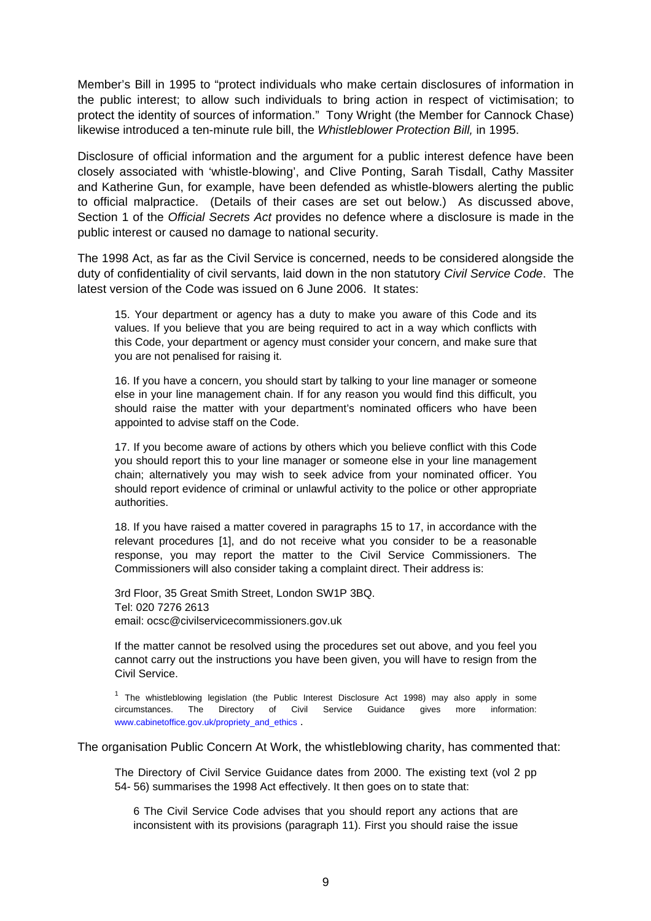Member's Bill in 1995 to "protect individuals who make certain disclosures of information in the public interest; to allow such individuals to bring action in respect of victimisation; to protect the identity of sources of information." Tony Wright (the Member for Cannock Chase) likewise introduced a ten-minute rule bill, the *Whistleblower Protection Bill,* in 1995.

Disclosure of official information and the argument for a public interest defence have been closely associated with 'whistle-blowing', and Clive Ponting, Sarah Tisdall, Cathy Massiter and Katherine Gun, for example, have been defended as whistle-blowers alerting the public to official malpractice. (Details of their cases are set out below.) As discussed above, Section 1 of the *Official Secrets Act* provides no defence where a disclosure is made in the public interest or caused no damage to national security.

The 1998 Act, as far as the Civil Service is concerned, needs to be considered alongside the duty of confidentiality of civil servants, laid down in the non statutory *Civil Service Code*. The latest version of the Code was issued on 6 June 2006. It states:

15. Your department or agency has a duty to make you aware of this Code and its values. If you believe that you are being required to act in a way which conflicts with this Code, your department or agency must consider your concern, and make sure that you are not penalised for raising it.

16. If you have a concern, you should start by talking to your line manager or someone else in your line management chain. If for any reason you would find this difficult, you should raise the matter with your department's nominated officers who have been appointed to advise staff on the Code.

17. If you become aware of actions by others which you believe conflict with this Code you should report this to your line manager or someone else in your line management chain; alternatively you may wish to seek advice from your nominated officer. You should report evidence of criminal or unlawful activity to the police or other appropriate authorities.

18. If you have raised a matter covered in paragraphs 15 to 17, in accordance with the relevant procedures [1], and do not receive what you consider to be a reasonable response, you may report the matter to the Civil Service Commissioners. The Commissioners will also consider taking a complaint direct. Their address is:

3rd Floor, 35 Great Smith Street, London SW1P 3BQ. Tel: 020 7276 2613 email: ocsc@civilservicecommissioners.gov.uk

If the matter cannot be resolved using the procedures set out above, and you feel you cannot carry out the instructions you have been given, you will have to resign from the Civil Service.

 $1$  The whistleblowing legislation (the Public Interest Disclosure Act 1998) may also apply in some circumstances. The Directory of Civil Service Guidance gives more information: [www.cabinetoffice.gov.uk/propriety\\_and\\_ethics](http://www.cabinetoffice.gov.uk/propriety_and_ethics) .

The organisation Public Concern At Work, the whistleblowing charity, has commented that:

The Directory of Civil Service Guidance dates from 2000. The existing text (vol 2 pp 54- 56) summarises the 1998 Act effectively. It then goes on to state that:

6 The Civil Service Code advises that you should report any actions that are inconsistent with its provisions (paragraph 11). First you should raise the issue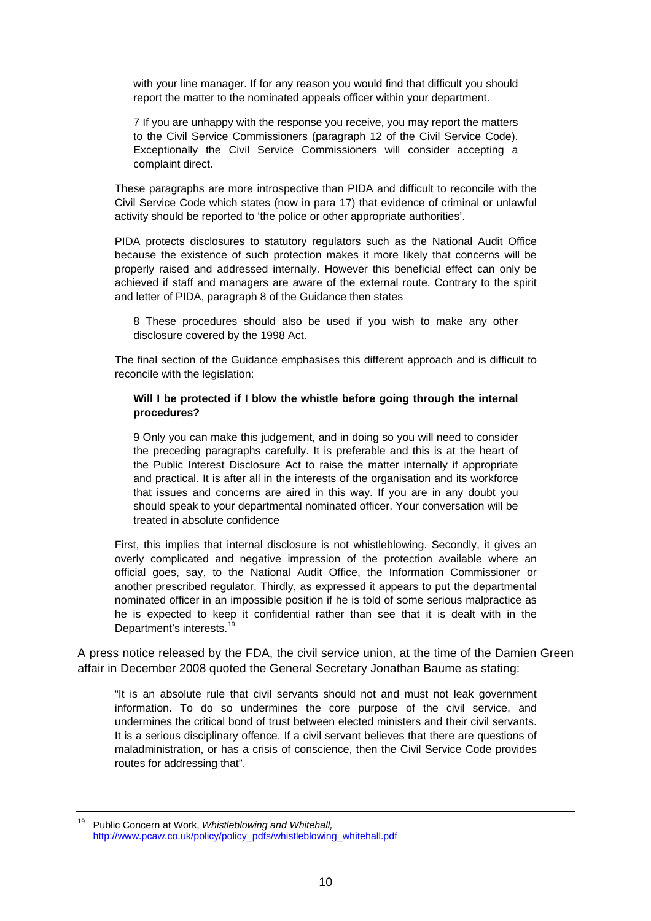with your line manager. If for any reason you would find that difficult you should report the matter to the nominated appeals officer within your department.

7 If you are unhappy with the response you receive, you may report the matters to the Civil Service Commissioners (paragraph 12 of the Civil Service Code). Exceptionally the Civil Service Commissioners will consider accepting a complaint direct.

These paragraphs are more introspective than PIDA and difficult to reconcile with the Civil Service Code which states (now in para 17) that evidence of criminal or unlawful activity should be reported to 'the police or other appropriate authorities'.

PIDA protects disclosures to statutory regulators such as the National Audit Office because the existence of such protection makes it more likely that concerns will be properly raised and addressed internally. However this beneficial effect can only be achieved if staff and managers are aware of the external route. Contrary to the spirit and letter of PIDA, paragraph 8 of the Guidance then states

8 These procedures should also be used if you wish to make any other disclosure covered by the 1998 Act.

The final section of the Guidance emphasises this different approach and is difficult to reconcile with the legislation:

#### **Will I be protected if I blow the whistle before going through the internal procedures?**

9 Only you can make this judgement, and in doing so you will need to consider the preceding paragraphs carefully. It is preferable and this is at the heart of the Public Interest Disclosure Act to raise the matter internally if appropriate and practical. It is after all in the interests of the organisation and its workforce that issues and concerns are aired in this way. If you are in any doubt you should speak to your departmental nominated officer. Your conversation will be treated in absolute confidence

First, this implies that internal disclosure is not whistleblowing. Secondly, it gives an overly complicated and negative impression of the protection available where an official goes, say, to the National Audit Office, the Information Commissioner or another prescribed regulator. Thirdly, as expressed it appears to put the departmental nominated officer in an impossible position if he is told of some serious malpractice as he is expected to keep it confidential rather than see that it is dealt with in the Department's interests.<sup>[19](#page-9-0)</sup>

A press notice released by the FDA, the civil service union, at the time of the Damien Green affair in December 2008 quoted the General Secretary Jonathan Baume as stating:

"It is an absolute rule that civil servants should not and must not leak government information. To do so undermines the core purpose of the civil service, and undermines the critical bond of trust between elected ministers and their civil servants. It is a serious disciplinary offence. If a civil servant believes that there are questions of maladministration, or has a crisis of conscience, then the Civil Service Code provides routes for addressing that".

<span id="page-9-0"></span><sup>19</sup> Public Concern at Work, *Whistleblowing and Whitehall,*  [http://www.pcaw.co.uk/policy/policy\\_pdfs/whistleblowing\\_whitehall.pdf](http://www.pcaw.co.uk/policy/policy_pdfs/whistleblowing_whitehall.pdf)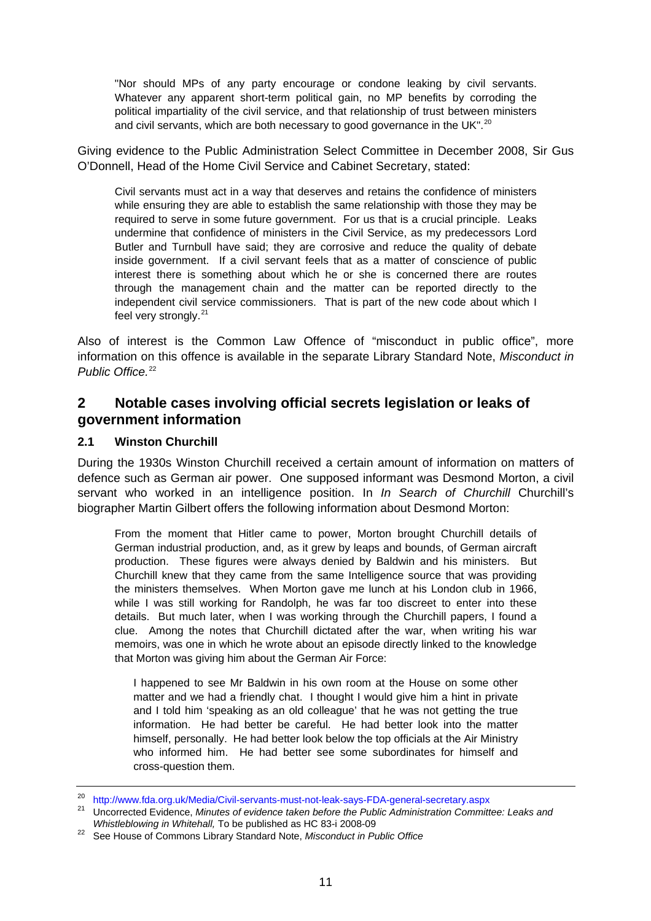<span id="page-10-0"></span>"Nor should MPs of any party encourage or condone leaking by civil servants. Whatever any apparent short-term political gain, no MP benefits by corroding the political impartiality of the civil service, and that relationship of trust between ministers and civil servants, which are both necessary to good governance in the UK".<sup>[20](#page-10-1)</sup>

Giving evidence to the Public Administration Select Committee in December 2008, Sir Gus O'Donnell, Head of the Home Civil Service and Cabinet Secretary, stated:

Civil servants must act in a way that deserves and retains the confidence of ministers while ensuring they are able to establish the same relationship with those they may be required to serve in some future government. For us that is a crucial principle. Leaks undermine that confidence of ministers in the Civil Service, as my predecessors Lord Butler and Turnbull have said; they are corrosive and reduce the quality of debate inside government. If a civil servant feels that as a matter of conscience of public interest there is something about which he or she is concerned there are routes through the management chain and the matter can be reported directly to the independent civil service commissioners. That is part of the new code about which I feel very strongly. $21$ 

Also of interest is the Common Law Offence of "misconduct in public office", more information on this offence is available in the separate Library Standard Note, *Misconduct in Public Office.*[22](#page-10-3)

# **2 Notable cases involving official secrets legislation or leaks of government information**

#### **2.1 Winston Churchill**

During the 1930s Winston Churchill received a certain amount of information on matters of defence such as German air power. One supposed informant was Desmond Morton, a civil servant who worked in an intelligence position. In *In Search of Churchill* Churchill's biographer Martin Gilbert offers the following information about Desmond Morton:

From the moment that Hitler came to power, Morton brought Churchill details of German industrial production, and, as it grew by leaps and bounds, of German aircraft production. These figures were always denied by Baldwin and his ministers. But Churchill knew that they came from the same Intelligence source that was providing the ministers themselves. When Morton gave me lunch at his London club in 1966, while I was still working for Randolph, he was far too discreet to enter into these details. But much later, when I was working through the Churchill papers, I found a clue. Among the notes that Churchill dictated after the war, when writing his war memoirs, was one in which he wrote about an episode directly linked to the knowledge that Morton was giving him about the German Air Force:

I happened to see Mr Baldwin in his own room at the House on some other matter and we had a friendly chat. I thought I would give him a hint in private and I told him 'speaking as an old colleague' that he was not getting the true information. He had better be careful. He had better look into the matter himself, personally. He had better look below the top officials at the Air Ministry who informed him. He had better see some subordinates for himself and cross-question them.

<span id="page-10-2"></span><span id="page-10-1"></span><sup>&</sup>lt;sup>20</sup> http://www.fda.org.uk/Media/Civil-servants-must-not-leak-says-FDA-general-secretary.aspx<br><sup>21</sup> Uncorrected Evidence, *Minutes of evidence taken before the Public Administration Committee: Leaks and<br><i>Whistleblowing in W* 

<span id="page-10-3"></span><sup>&</sup>lt;sup>22</sup> See House of Commons Library Standard Note, *Misconduct in Public Office*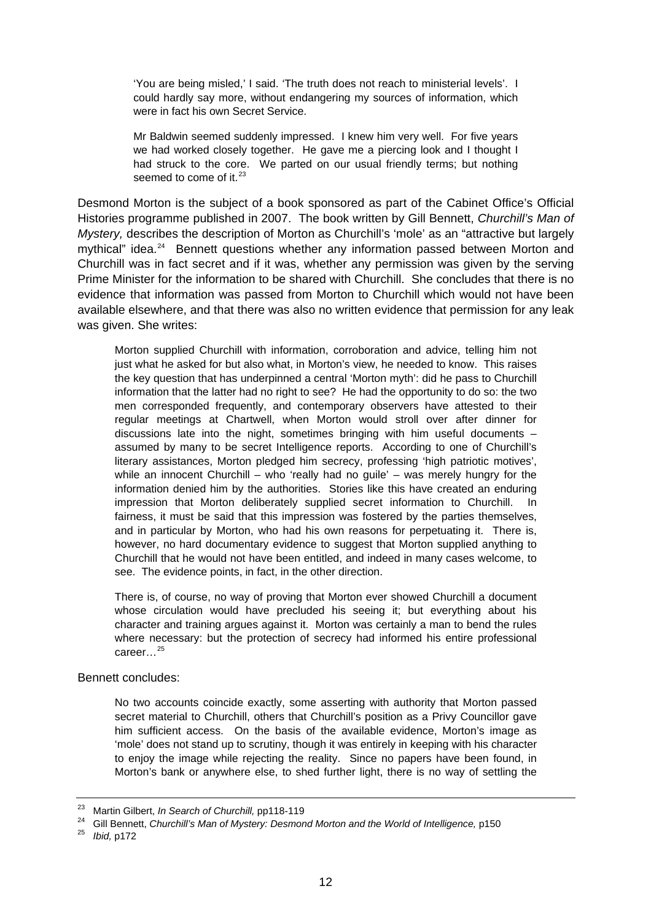'You are being misled,' I said. 'The truth does not reach to ministerial levels'. I could hardly say more, without endangering my sources of information, which were in fact his own Secret Service.

Mr Baldwin seemed suddenly impressed. I knew him very well. For five years we had worked closely together. He gave me a piercing look and I thought I had struck to the core. We parted on our usual friendly terms; but nothing seemed to come of it. $23$ 

Desmond Morton is the subject of a book sponsored as part of the Cabinet Office's Official Histories programme published in 2007. The book written by Gill Bennett, *Churchill's Man of Mystery,* describes the description of Morton as Churchill's 'mole' as an "attractive but largely mythical" idea.<sup>[24](#page-11-1)</sup> Bennett questions whether any information passed between Morton and Churchill was in fact secret and if it was, whether any permission was given by the serving Prime Minister for the information to be shared with Churchill. She concludes that there is no evidence that information was passed from Morton to Churchill which would not have been available elsewhere, and that there was also no written evidence that permission for any leak was given. She writes:

Morton supplied Churchill with information, corroboration and advice, telling him not just what he asked for but also what, in Morton's view, he needed to know. This raises the key question that has underpinned a central 'Morton myth': did he pass to Churchill information that the latter had no right to see? He had the opportunity to do so: the two men corresponded frequently, and contemporary observers have attested to their regular meetings at Chartwell, when Morton would stroll over after dinner for discussions late into the night, sometimes bringing with him useful documents – assumed by many to be secret Intelligence reports. According to one of Churchill's literary assistances, Morton pledged him secrecy, professing 'high patriotic motives', while an innocent Churchill – who 'really had no quile' – was merely hungry for the information denied him by the authorities. Stories like this have created an enduring impression that Morton deliberately supplied secret information to Churchill. In fairness, it must be said that this impression was fostered by the parties themselves, and in particular by Morton, who had his own reasons for perpetuating it. There is, however, no hard documentary evidence to suggest that Morton supplied anything to Churchill that he would not have been entitled, and indeed in many cases welcome, to see. The evidence points, in fact, in the other direction.

There is, of course, no way of proving that Morton ever showed Churchill a document whose circulation would have precluded his seeing it; but everything about his character and training argues against it. Morton was certainly a man to bend the rules where necessary: but the protection of secrecy had informed his entire professional career…[25](#page-11-2)

#### Bennett concludes:

No two accounts coincide exactly, some asserting with authority that Morton passed secret material to Churchill, others that Churchill's position as a Privy Councillor gave him sufficient access. On the basis of the available evidence, Morton's image as 'mole' does not stand up to scrutiny, though it was entirely in keeping with his character to enjoy the image while rejecting the reality. Since no papers have been found, in Morton's bank or anywhere else, to shed further light, there is no way of settling the

<span id="page-11-1"></span><span id="page-11-0"></span><sup>&</sup>lt;sup>23</sup> Martin Gilbert, *In Search of Churchill,* pp118-119<br><sup>24</sup> Gill Bennett, *Churchill's Man of Mystery: Desmond Morton and the World of Intelligence,* p150<br><sup>25</sup> *Ibid*, p172

<span id="page-11-2"></span>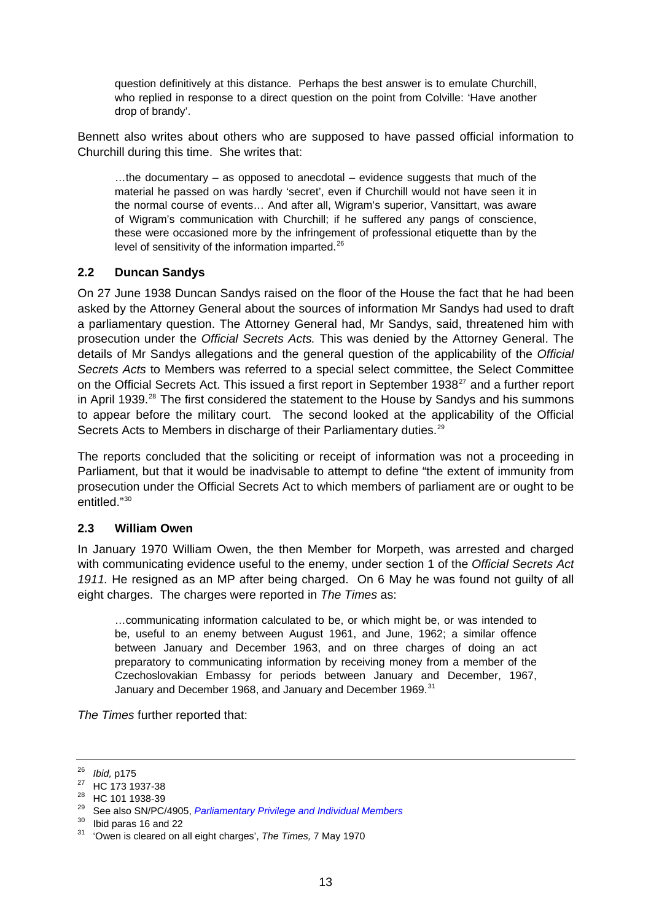<span id="page-12-0"></span>question definitively at this distance. Perhaps the best answer is to emulate Churchill, who replied in response to a direct question on the point from Colville: 'Have another drop of brandy'.

Bennett also writes about others who are supposed to have passed official information to Churchill during this time. She writes that:

 $...$ the documentary – as opposed to anecdotal – evidence suggests that much of the material he passed on was hardly 'secret', even if Churchill would not have seen it in the normal course of events… And after all, Wigram's superior, Vansittart, was aware of Wigram's communication with Churchill; if he suffered any pangs of conscience, these were occasioned more by the infringement of professional etiquette than by the level of sensitivity of the information imparted.<sup>[26](#page-12-1)</sup>

#### **2.2 Duncan Sandys**

On 27 June 1938 Duncan Sandys raised on the floor of the House the fact that he had been asked by the Attorney General about the sources of information Mr Sandys had used to draft a parliamentary question. The Attorney General had, Mr Sandys, said, threatened him with prosecution under the *Official Secrets Acts.* This was denied by the Attorney General. The details of Mr Sandys allegations and the general question of the applicability of the *Official Secrets Acts* to Members was referred to a special select committee, the Select Committee on the Official Secrets Act. This issued a first report in September 1938 $27$  and a further report in April 1939.<sup>[28](#page-12-3)</sup> The first considered the statement to the House by Sandys and his summons to appear before the military court. The second looked at the applicability of the Official Secrets Acts to Members in discharge of their Parliamentary duties.<sup>[29](#page-12-4)</sup>

The reports concluded that the soliciting or receipt of information was not a proceeding in Parliament, but that it would be inadvisable to attempt to define "the extent of immunity from prosecution under the Official Secrets Act to which members of parliament are or ought to be entitled."[30](#page-12-5)

#### **2.3 William Owen**

In January 1970 William Owen, the then Member for Morpeth, was arrested and charged with communicating evidence useful to the enemy, under section 1 of the *Official Secrets Act 1911.* He resigned as an MP after being charged.On 6 May he was found not guilty of all eight charges. The charges were reported in *The Times* as:

…communicating information calculated to be, or which might be, or was intended to be, useful to an enemy between August 1961, and June, 1962; a similar offence between January and December 1963, and on three charges of doing an act preparatory to communicating information by receiving money from a member of the Czechoslovakian Embassy for periods between January and December, 1967, January and December 1968, and January and December 1969.<sup>[31](#page-12-6)</sup>

*The Times* further reported that:

<span id="page-12-1"></span><sup>&</sup>lt;sup>26</sup> *Ibid,* p175<br><sup>27</sup> HC 173 1937-38

<span id="page-12-3"></span><span id="page-12-2"></span><sup>28</sup> HC 101 1938-39

<span id="page-12-4"></span><sup>29</sup> See also SN/PC/4905, *[Parliamentary Privilege and Individual Members](http://www.parliament.uk/briefing-papers/SN04905)*

 $30$  Ibid paras 16 and 22

<span id="page-12-6"></span><span id="page-12-5"></span><sup>31 &#</sup>x27;Owen is cleared on all eight charges', *The Times,* 7 May 1970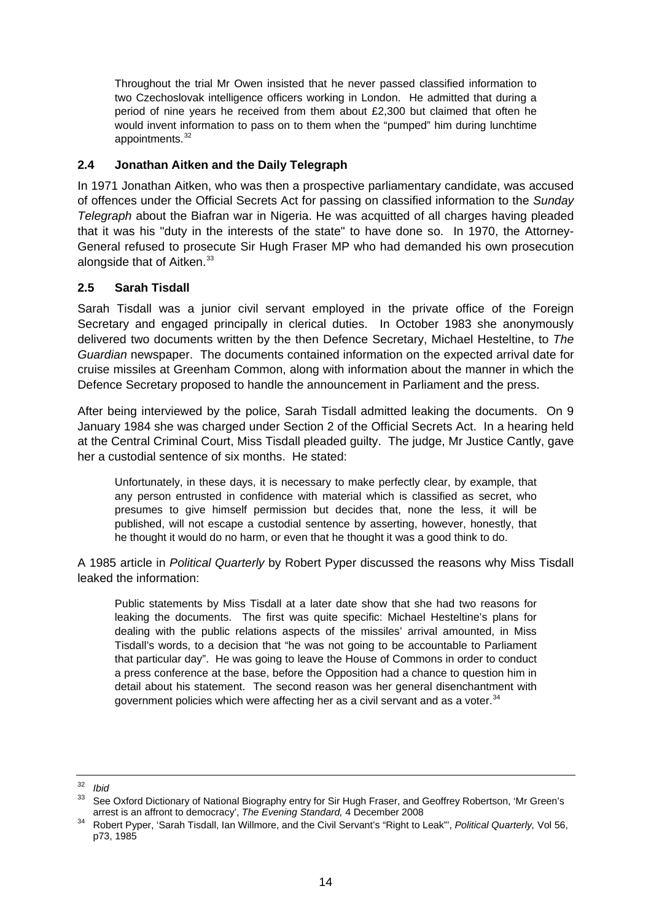<span id="page-13-0"></span>Throughout the trial Mr Owen insisted that he never passed classified information to two Czechoslovak intelligence officers working in London. He admitted that during a period of nine years he received from them about £2,300 but claimed that often he would invent information to pass on to them when the "pumped" him during lunchtime appointments. $32$ 

#### **2.4 Jonathan Aitken and the Daily Telegraph**

In 1971 Jonathan Aitken, who was then a prospective parliamentary candidate, was accused of offences under the Official Secrets Act for passing on classified information to the *Sunday Telegraph* about the Biafran war in Nigeria. He was acquitted of all charges having pleaded that it was his "duty in the interests of the state" to have done so. In 1970, the Attorney-General refused to prosecute Sir Hugh Fraser MP who had demanded his own prosecution alongside that of Aitken.<sup>[33](#page-13-2)</sup>

#### **2.5 Sarah Tisdall**

Sarah Tisdall was a junior civil servant employed in the private office of the Foreign Secretary and engaged principally in clerical duties. In October 1983 she anonymously delivered two documents written by the then Defence Secretary, Michael Hesteltine, to *The Guardian* newspaper. The documents contained information on the expected arrival date for cruise missiles at Greenham Common, along with information about the manner in which the Defence Secretary proposed to handle the announcement in Parliament and the press.

After being interviewed by the police, Sarah Tisdall admitted leaking the documents. On 9 January 1984 she was charged under Section 2 of the Official Secrets Act. In a hearing held at the Central Criminal Court, Miss Tisdall pleaded guilty. The judge, Mr Justice Cantly, gave her a custodial sentence of six months. He stated:

Unfortunately, in these days, it is necessary to make perfectly clear, by example, that any person entrusted in confidence with material which is classified as secret, who presumes to give himself permission but decides that, none the less, it will be published, will not escape a custodial sentence by asserting, however, honestly, that he thought it would do no harm, or even that he thought it was a good think to do.

A 1985 article in *Political Quarterly* by Robert Pyper discussed the reasons why Miss Tisdall leaked the information:

Public statements by Miss Tisdall at a later date show that she had two reasons for leaking the documents. The first was quite specific: Michael Hesteltine's plans for dealing with the public relations aspects of the missiles' arrival amounted, in Miss Tisdall's words, to a decision that "he was not going to be accountable to Parliament that particular day". He was going to leave the House of Commons in order to conduct a press conference at the base, before the Opposition had a chance to question him in detail about his statement. The second reason was her general disenchantment with government policies which were affecting her as a civil servant and as a voter. $34$ 

<span id="page-13-1"></span> $rac{32}{33}$  *Ibid* 

See Oxford Dictionary of National Biography entry for Sir Hugh Fraser, and Geoffrey Robertson, 'Mr Green's

<span id="page-13-3"></span><span id="page-13-2"></span>arrest is an affront to democracy', *The Evening Standard,* 4 December 2008 34 Robert Pyper, 'Sarah Tisdall, Ian Willmore, and the Civil Servant's "Right to Leak"', *Political Quarterly,* Vol 56, p73, 1985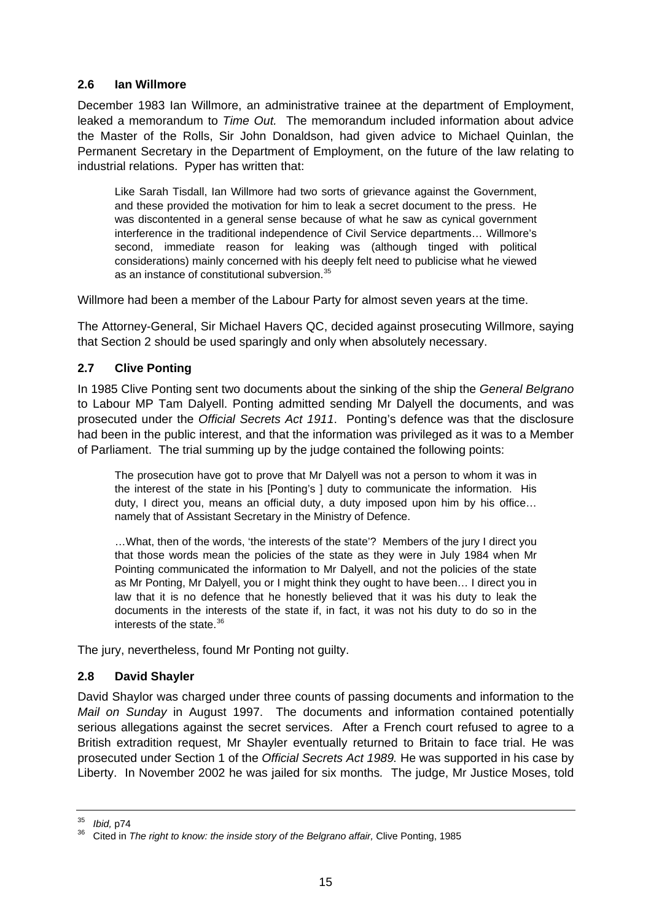#### <span id="page-14-0"></span>**2.6 Ian Willmore**

December 1983 Ian Willmore, an administrative trainee at the department of Employment, leaked a memorandum to *Time Out.* The memorandum included information about advice the Master of the Rolls, Sir John Donaldson, had given advice to Michael Quinlan, the Permanent Secretary in the Department of Employment, on the future of the law relating to industrial relations. Pyper has written that:

Like Sarah Tisdall, Ian Willmore had two sorts of grievance against the Government, and these provided the motivation for him to leak a secret document to the press. He was discontented in a general sense because of what he saw as cynical government interference in the traditional independence of Civil Service departments… Willmore's second, immediate reason for leaking was (although tinged with political considerations) mainly concerned with his deeply felt need to publicise what he viewed as an instance of constitutional subversion.<sup>[35](#page-14-1)</sup>

Willmore had been a member of the Labour Party for almost seven years at the time.

The Attorney-General, Sir Michael Havers QC, decided against prosecuting Willmore, saying that Section 2 should be used sparingly and only when absolutely necessary.

#### **2.7 Clive Ponting**

In 1985 Clive Ponting sent two documents about the sinking of the ship the *General Belgrano*  to Labour MP Tam Dalyell. Ponting admitted sending Mr Dalyell the documents, and was prosecuted under the *Official Secrets Act 1911*. Ponting's defence was that the disclosure had been in the public interest, and that the information was privileged as it was to a Member of Parliament. The trial summing up by the judge contained the following points:

The prosecution have got to prove that Mr Dalyell was not a person to whom it was in the interest of the state in his [Ponting's ] duty to communicate the information. His duty, I direct you, means an official duty, a duty imposed upon him by his office… namely that of Assistant Secretary in the Ministry of Defence.

…What, then of the words, 'the interests of the state'? Members of the jury I direct you that those words mean the policies of the state as they were in July 1984 when Mr Pointing communicated the information to Mr Dalyell, and not the policies of the state as Mr Ponting, Mr Dalyell, you or I might think they ought to have been… I direct you in law that it is no defence that he honestly believed that it was his duty to leak the documents in the interests of the state if, in fact, it was not his duty to do so in the interests of the state.<sup>[36](#page-14-2)</sup>

The jury, nevertheless, found Mr Ponting not guilty.

#### **2.8 David Shayler**

David Shaylor was charged under three counts of passing documents and information to the *Mail on Sunday* in August 1997. The documents and information contained potentially serious allegations against the secret services. After a French court refused to agree to a British extradition request, Mr Shayler eventually returned to Britain to face trial. He was prosecuted under Section 1 of the *Official Secrets Act 1989.* He was supported in his case by Liberty. In November 2002 he was jailed for six months*.* The judge, Mr Justice Moses, told

<span id="page-14-2"></span><span id="page-14-1"></span><sup>&</sup>lt;sup>35</sup> *Ibid,* p74<br><sup>36</sup> Cited in *The right to know: the inside story of the Belgrano affair, Clive Ponting, 1985*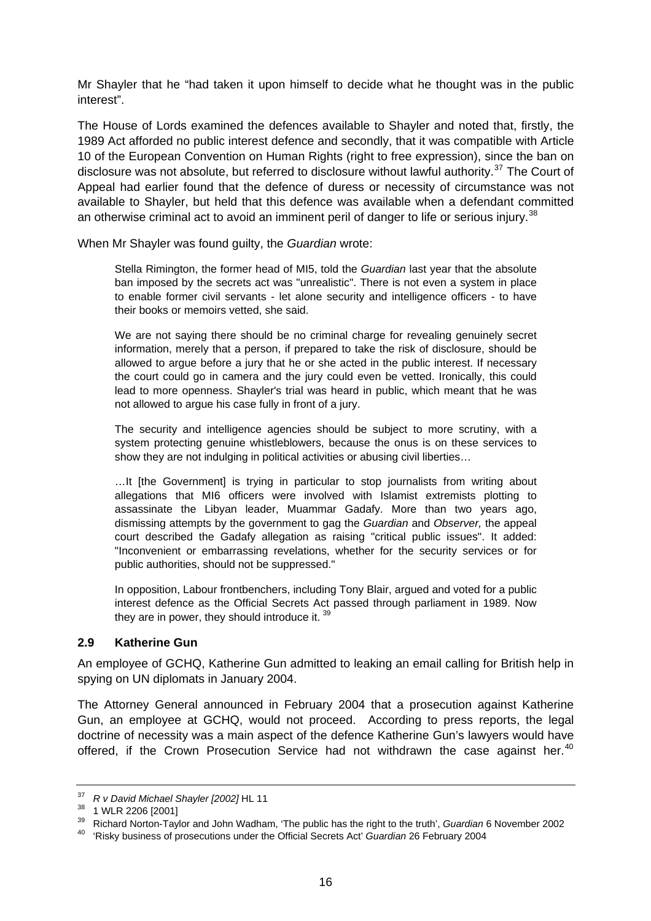<span id="page-15-0"></span>Mr Shayler that he "had taken it upon himself to decide what he thought was in the public interest".

The House of Lords examined the defences available to Shayler and noted that, firstly, the 1989 Act afforded no public interest defence and secondly, that it was compatible with Article 10 of the European Convention on Human Rights (right to free expression), since the ban on disclosure was not absolute, but referred to disclosure without lawful authority.<sup>[37](#page-15-1)</sup> The Court of Appeal had earlier found that the defence of duress or necessity of circumstance was not available to Shayler, but held that this defence was available when a defendant committed an otherwise criminal act to avoid an imminent peril of danger to life or serious injury.<sup>[38](#page-15-2)</sup>

When Mr Shayler was found guilty, the *Guardian* wrote:

Stella Rimington, the former head of MI5, told the *Guardian* last year that the absolute ban imposed by the secrets act was "unrealistic". There is not even a system in place to enable former civil servants - let alone security and intelligence officers - to have their books or memoirs vetted, she said.

We are not saving there should be no criminal charge for revealing genuinely secret information, merely that a person, if prepared to take the risk of disclosure, should be allowed to argue before a jury that he or she acted in the public interest. If necessary the court could go in camera and the jury could even be vetted. Ironically, this could lead to more openness. Shayler's trial was heard in public, which meant that he was not allowed to argue his case fully in front of a jury.

The security and intelligence agencies should be subject to more scrutiny, with a system protecting genuine whistleblowers, because the onus is on these services to show they are not indulging in political activities or abusing civil liberties...

…It [the Government] is trying in particular to stop journalists from writing about allegations that MI6 officers were involved with Islamist extremists plotting to assassinate the Libyan leader, Muammar Gadafy. More than two years ago, dismissing attempts by the government to gag the *Guardian* and *Observer,* the appeal court described the Gadafy allegation as raising "critical public issues". It added: "Inconvenient or embarrassing revelations, whether for the security services or for public authorities, should not be suppressed."

In opposition, Labour frontbenchers, including Tony Blair, argued and voted for a public interest defence as the Official Secrets Act passed through parliament in 1989. Now they are in power, they should introduce it. [39](#page-15-3)

#### **2.9 Katherine Gun**

An employee of GCHQ, Katherine Gun admitted to leaking an email calling for British help in spying on UN diplomats in January 2004.

The Attorney General announced in February 2004 that a prosecution against Katherine Gun, an employee at GCHQ, would not proceed. According to press reports, the legal doctrine of necessity was a main aspect of the defence Katherine Gun's lawyers would have offered, if the Crown Prosecution Service had not withdrawn the case against her.<sup>[40](#page-15-4)</sup>

<span id="page-15-1"></span><sup>37</sup>*R v David Michael Shayler [2002]* HL 11 38 1 WLR 2206 [2001]

<span id="page-15-3"></span><span id="page-15-2"></span><sup>39</sup> Richard Norton-Taylor and John Wadham, 'The public has the right to the truth', *Guardian* 6 November 2002 40 'Risky business of prosecutions under the Official Secrets Act' *Guardian* 26 February 2004

<span id="page-15-4"></span>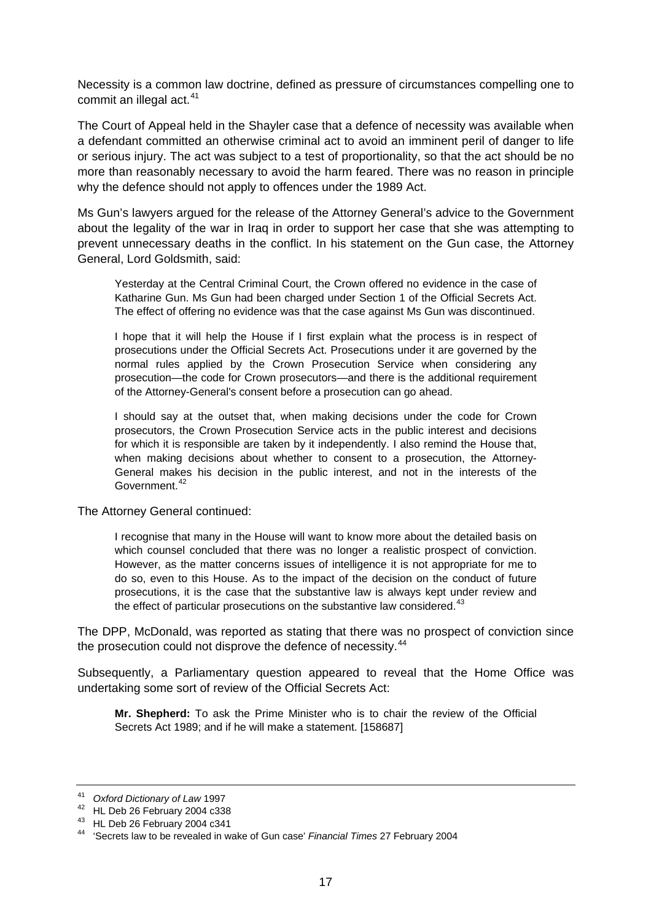Necessity is a common law doctrine, defined as pressure of circumstances compelling one to commit an illegal act.<sup>[41](#page-16-0)</sup>

The Court of Appeal held in the Shayler case that a defence of necessity was available when a defendant committed an otherwise criminal act to avoid an imminent peril of danger to life or serious injury. The act was subject to a test of proportionality, so that the act should be no more than reasonably necessary to avoid the harm feared. There was no reason in principle why the defence should not apply to offences under the 1989 Act.

Ms Gun's lawyers argued for the release of the Attorney General's advice to the Government about the legality of the war in Iraq in order to support her case that she was attempting to prevent unnecessary deaths in the conflict. In his statement on the Gun case, the Attorney General, Lord Goldsmith, said:

Yesterday at the Central Criminal Court, the Crown offered no evidence in the case of Katharine Gun. Ms Gun had been charged under Section 1 of the Official Secrets Act. The effect of offering no evidence was that the case against Ms Gun was discontinued.

I hope that it will help the House if I first explain what the process is in respect of prosecutions under the Official Secrets Act. Prosecutions under it are governed by the normal rules applied by the Crown Prosecution Service when considering any prosecution—the code for Crown prosecutors—and there is the additional requirement of the Attorney-General's consent before a prosecution can go ahead.

I should say at the outset that, when making decisions under the code for Crown prosecutors, the Crown Prosecution Service acts in the public interest and decisions for which it is responsible are taken by it independently. I also remind the House that, when making decisions about whether to consent to a prosecution, the Attorney-General makes his decision in the public interest, and not in the interests of the Government.<sup>[42](#page-16-1)</sup>

The Attorney General continued:

I recognise that many in the House will want to know more about the detailed basis on which counsel concluded that there was no longer a realistic prospect of conviction. However, as the matter concerns issues of intelligence it is not appropriate for me to do so, even to this House. As to the impact of the decision on the conduct of future prosecutions, it is the case that the substantive law is always kept under review and the effect of particular prosecutions on the substantive law considered. $43$ 

The DPP, McDonald, was reported as stating that there was no prospect of conviction since the prosecution could not disprove the defence of necessity.<sup>[44](#page-16-3)</sup>

Subsequently, a Parliamentary question appeared to reveal that the Home Office was undertaking some sort of review of the Official Secrets Act:

**Mr. Shepherd:** To ask the Prime Minister who is to chair the review of the Official Secrets Act 1989; and if he will make a statement. [158687]

<span id="page-16-0"></span><sup>41</sup> *Oxford Dictionary of Law* 1997 42 HL Deb 26 February 2004 c338

<span id="page-16-2"></span><span id="page-16-1"></span><sup>43</sup> HL Deb 26 February 2004 c341

<span id="page-16-3"></span><sup>44 &#</sup>x27;Secrets law to be revealed in wake of Gun case' *Financial Times* 27 February 2004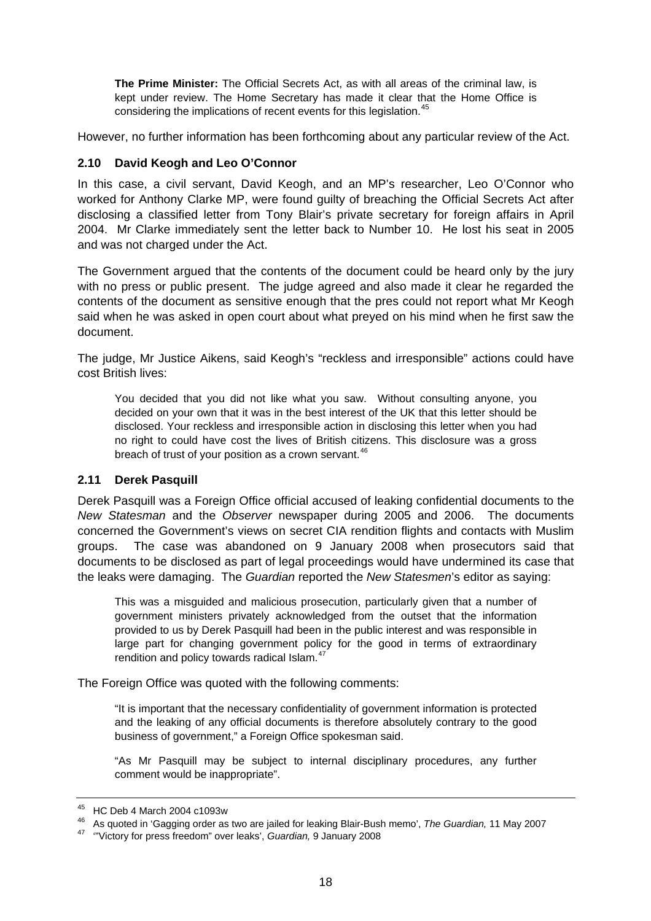<span id="page-17-0"></span>**The Prime Minister:** The Official Secrets Act, as with all areas of the criminal law, is kept under review. The Home Secretary has made it clear that the Home Office is considering the implications of recent events for this legislation.<sup>[45](#page-17-1)</sup>

However, no further information has been forthcoming about any particular review of the Act.

#### **2.10 David Keogh and Leo O'Connor**

In this case, a civil servant, David Keogh, and an MP's researcher, Leo O'Connor who worked for Anthony Clarke MP, were found guilty of breaching the Official Secrets Act after disclosing a classified letter from Tony Blair's private secretary for foreign affairs in April 2004. Mr Clarke immediately sent the letter back to Number 10. He lost his seat in 2005 and was not charged under the Act.

The Government argued that the contents of the document could be heard only by the jury with no press or public present. The judge agreed and also made it clear he regarded the contents of the document as sensitive enough that the pres could not report what Mr Keogh said when he was asked in open court about what preyed on his mind when he first saw the document.

The judge, Mr Justice Aikens, said Keogh's "reckless and irresponsible" actions could have cost British lives:

You decided that you did not like what you saw. Without consulting anyone, you decided on your own that it was in the best interest of the UK that this letter should be disclosed. Your reckless and irresponsible action in disclosing this letter when you had no right to could have cost the lives of British citizens. This disclosure was a gross breach of trust of your position as a crown servant.<sup>[46](#page-17-2)</sup>

#### **2.11 Derek Pasquill**

Derek Pasquill was a Foreign Office official accused of leaking confidential documents to the *New Statesman* and the *Observer* newspaper during 2005 and 2006. The documents concerned the Government's views on secret CIA rendition flights and contacts with Muslim groups. The case was abandoned on 9 January 2008 when prosecutors said that documents to be disclosed as part of legal proceedings would have undermined its case that the leaks were damaging. The *Guardian* reported the *New Statesmen*'s editor as saying:

This was a misguided and malicious prosecution, particularly given that a number of government ministers privately acknowledged from the outset that the information provided to us by Derek Pasquill had been in the public interest and was responsible in large part for changing government policy for the good in terms of extraordinary rendition and policy towards radical Islam.<sup>[47](#page-17-3)</sup>

The Foreign Office was quoted with the following comments:

"It is important that the necessary confidentiality of government information is protected and the leaking of any official documents is therefore absolutely contrary to the good business of government," a Foreign Office spokesman said.

"As Mr Pasquill may be subject to internal disciplinary procedures, any further comment would be inappropriate".

<sup>45</sup> HC Deb 4 March 2004 c1093w

<span id="page-17-2"></span><span id="page-17-1"></span><sup>46</sup> As quoted in 'Gagging order as two are jailed for leaking Blair-Bush memo', *The Guardian,* 11 May 2007 47 '"Victory for press freedom" over leaks', *Guardian,* 9 January 2008

<span id="page-17-3"></span>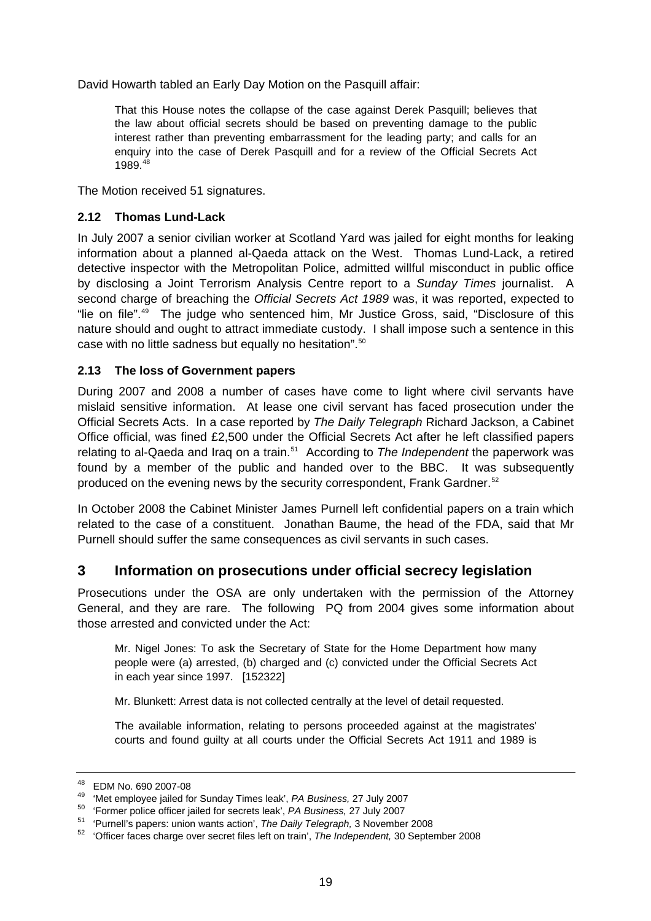<span id="page-18-0"></span>David Howarth tabled an Early Day Motion on the Pasquill affair:

That this House notes the collapse of the case against Derek Pasquill; believes that the law about official secrets should be based on preventing damage to the public interest rather than preventing embarrassment for the leading party; and calls for an enquiry into the case of Derek Pasquill and for a review of the Official Secrets Act 1989<sup>[48](#page-18-1)</sup>

The Motion received 51 signatures.

#### **2.12 Thomas Lund-Lack**

In July 2007 a senior civilian worker at Scotland Yard was jailed for eight months for leaking information about a planned al-Qaeda attack on the West. Thomas Lund-Lack, a retired detective inspector with the Metropolitan Police, admitted willful misconduct in public office by disclosing a Joint Terrorism Analysis Centre report to a *Sunday Times* journalist. A second charge of breaching the *Official Secrets Act 1989* was, it was reported, expected to "lie on file".<sup>[49](#page-18-2)</sup> The judge who sentenced him, Mr Justice Gross, said, "Disclosure of this nature should and ought to attract immediate custody. I shall impose such a sentence in this case with no little sadness but equally no hesitation".<sup>[50](#page-18-3)</sup>

#### **2.13 The loss of Government papers**

During 2007 and 2008 a number of cases have come to light where civil servants have mislaid sensitive information. At lease one civil servant has faced prosecution under the Official Secrets Acts. In a case reported by *The Daily Telegraph* Richard Jackson, a Cabinet Office official, was fined £2,500 under the Official Secrets Act after he left classified papers relating to al-Qaeda and Iraq on a train.[51](#page-18-4) According to *The Independent* the paperwork was found by a member of the public and handed over to the BBC. It was subsequently produced on the evening news by the security correspondent, Frank Gardner.<sup>[52](#page-18-5)</sup>

In October 2008 the Cabinet Minister James Purnell left confidential papers on a train which related to the case of a constituent. Jonathan Baume, the head of the FDA, said that Mr Purnell should suffer the same consequences as civil servants in such cases.

# **3 Information on prosecutions under official secrecy legislation**

Prosecutions under the OSA are only undertaken with the permission of the Attorney General, and they are rare. The following PQ from 2004 gives some information about those arrested and convicted under the Act:

Mr. Nigel Jones: To ask the Secretary of State for the Home Department how many people were (a) arrested, (b) charged and (c) convicted under the Official Secrets Act in each year since 1997. [152322]

Mr. Blunkett: Arrest data is not collected centrally at the level of detail requested.

The available information, relating to persons proceeded against at the magistrates' courts and found guilty at all courts under the Official Secrets Act 1911 and 1989 is

<span id="page-18-1"></span> $^{48}$  EDM No. 690 2007-08<br> $^{49}$  'Met employee jailed for Sunday Times leak', PA Business, 27 July 2007

<span id="page-18-5"></span>

<span id="page-18-4"></span><span id="page-18-3"></span><span id="page-18-2"></span><sup>&</sup>lt;sup>50</sup> 'Former police officer jailed for secrets leak', *PA Business*, 27 July 2007<br><sup>51</sup> 'Purnell's papers: union wants action', *The Daily Telegraph*, 3 November 2008<br><sup>52</sup> 'Officer faces charge over secret files left on tr